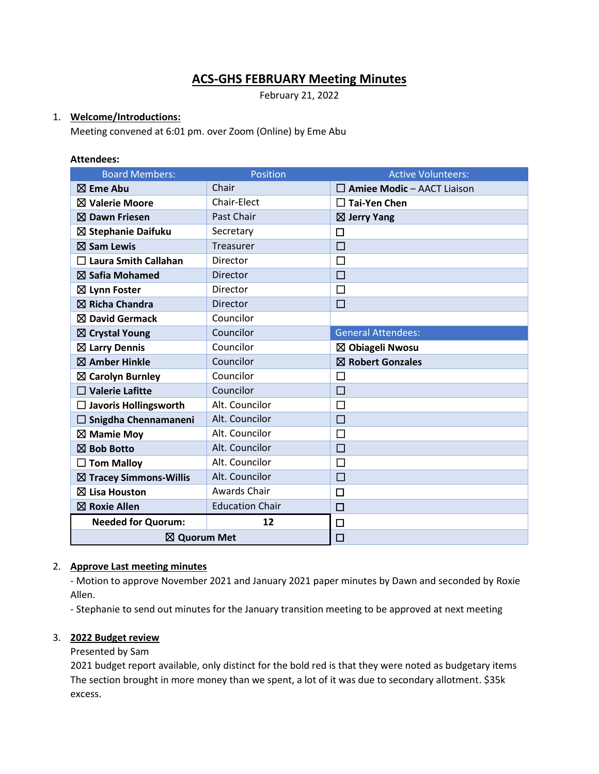# **ACS-GHS FEBRUARY Meeting Minutes**

February 21, 2022

### 1. **Welcome/Introductions:**

Meeting convened at 6:01 pm. over Zoom (Online) by Eme Abu

#### **Attendees:**

| <b>Board Members:</b>             | <b>Position</b>        | <b>Active Volunteers:</b>         |
|-----------------------------------|------------------------|-----------------------------------|
| $\boxtimes$ Eme Abu               | Chair                  | $\Box$ Amiee Modic - AACT Liaison |
| $\boxtimes$ Valerie Moore         | Chair-Elect            | $\square$ Tai-Yen Chen            |
| $\boxtimes$ Dawn Friesen          | Past Chair             | $\boxtimes$ Jerry Yang            |
| ⊠ Stephanie Daifuku               | Secretary              | П                                 |
| $\boxtimes$ Sam Lewis             | Treasurer              | $\Box$                            |
| $\square$ Laura Smith Callahan    | <b>Director</b>        | $\Box$                            |
| $\boxtimes$ Safia Mohamed         | <b>Director</b>        | П                                 |
| $\boxtimes$ Lynn Foster           | Director               | $\Box$                            |
| $\boxtimes$ Richa Chandra         | Director               | П                                 |
| $\boxtimes$ David Germack         | Councilor              |                                   |
| $\boxtimes$ Crystal Young         | Councilor              | <b>General Attendees:</b>         |
| $\boxtimes$ Larry Dennis          | Councilor              | ⊠ Obiageli Nwosu                  |
| $\boxtimes$ Amber Hinkle          | Councilor              | $\boxtimes$ Robert Gonzales       |
| $\boxtimes$ Carolyn Burnley       | Councilor              | $\Box$                            |
| $\Box$ Valerie Lafitte            | Councilor              | □                                 |
| $\Box$ Javoris Hollingsworth      | Alt. Councilor         | П                                 |
| $\Box$ Snigdha Chennamaneni       | Alt. Councilor         | $\Box$                            |
| $\boxtimes$ Mamie Moy             | Alt. Councilor         | □                                 |
| $\boxtimes$ Bob Botto             | Alt. Councilor         | $\Box$                            |
| <b>Tom Malloy</b>                 | Alt. Councilor         | $\Box$                            |
| $\boxtimes$ Tracey Simmons-Willis | Alt. Councilor         | $\Box$                            |
| $\boxtimes$ Lisa Houston          | Awards Chair           | $\Box$                            |
| $\boxtimes$ Roxie Allen           | <b>Education Chair</b> | $\Box$                            |
| <b>Needed for Quorum:</b>         | 12                     | □                                 |
| ⊠ Quorum Met                      |                        | $\Box$                            |

# 2. **Approve Last meeting minutes**

- Motion to approve November 2021 and January 2021 paper minutes by Dawn and seconded by Roxie Allen.

- Stephanie to send out minutes for the January transition meeting to be approved at next meeting

### 3. **2022 Budget review**

Presented by Sam

2021 budget report available, only distinct for the bold red is that they were noted as budgetary items The section brought in more money than we spent, a lot of it was due to secondary allotment. \$35k excess.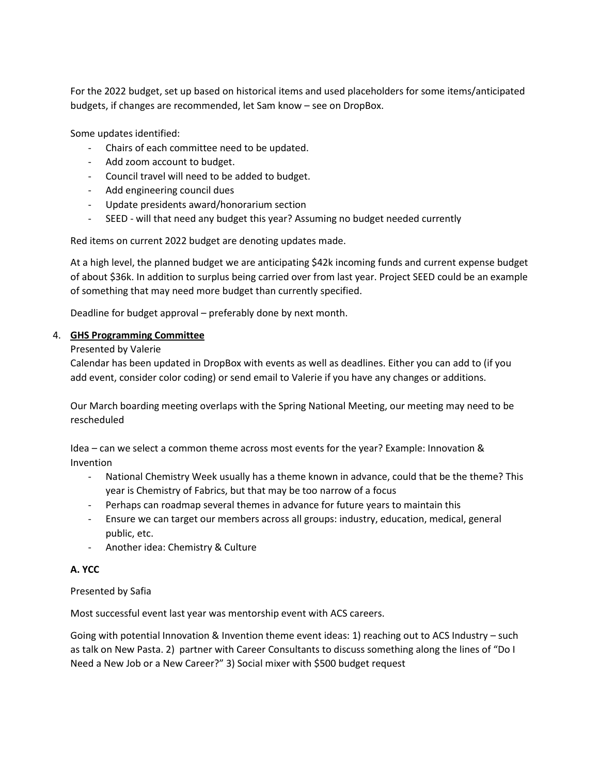For the 2022 budget, set up based on historical items and used placeholders for some items/anticipated budgets, if changes are recommended, let Sam know – see on DropBox.

Some updates identified:

- Chairs of each committee need to be updated.
- Add zoom account to budget.
- Council travel will need to be added to budget.
- Add engineering council dues
- Update presidents award/honorarium section
- SEED will that need any budget this year? Assuming no budget needed currently

Red items on current 2022 budget are denoting updates made.

At a high level, the planned budget we are anticipating \$42k incoming funds and current expense budget of about \$36k. In addition to surplus being carried over from last year. Project SEED could be an example of something that may need more budget than currently specified.

Deadline for budget approval – preferably done by next month.

### 4. **GHS Programming Committee**

#### Presented by Valerie

Calendar has been updated in DropBox with events as well as deadlines. Either you can add to (if you add event, consider color coding) or send email to Valerie if you have any changes or additions.

Our March boarding meeting overlaps with the Spring National Meeting, our meeting may need to be rescheduled

Idea – can we select a common theme across most events for the year? Example: Innovation & Invention

- National Chemistry Week usually has a theme known in advance, could that be the theme? This year is Chemistry of Fabrics, but that may be too narrow of a focus
- Perhaps can roadmap several themes in advance for future years to maintain this
- Ensure we can target our members across all groups: industry, education, medical, general public, etc.
- Another idea: Chemistry & Culture

# **A. YCC**

### Presented by Safia

Most successful event last year was mentorship event with ACS careers.

Going with potential Innovation & Invention theme event ideas: 1) reaching out to ACS Industry – such as talk on New Pasta. 2) partner with Career Consultants to discuss something along the lines of "Do I Need a New Job or a New Career?" 3) Social mixer with \$500 budget request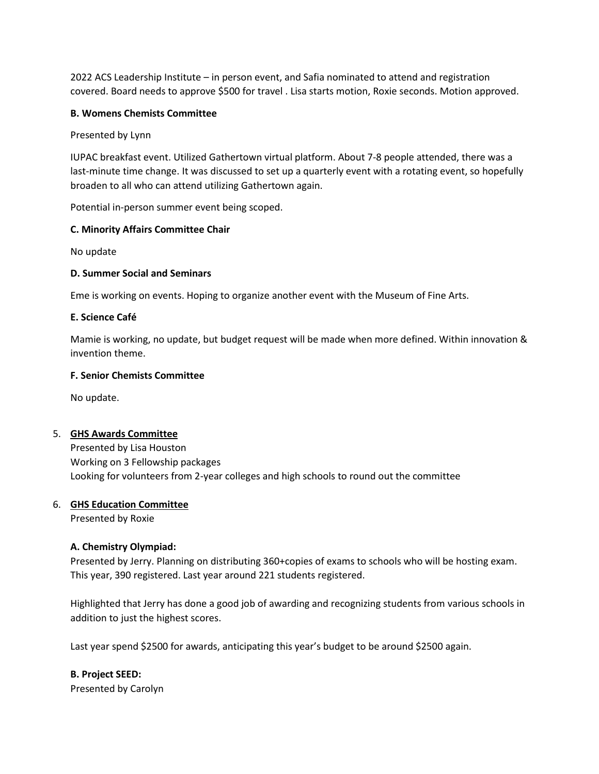2022 ACS Leadership Institute – in person event, and Safia nominated to attend and registration covered. Board needs to approve \$500 for travel . Lisa starts motion, Roxie seconds. Motion approved.

#### **B. Womens Chemists Committee**

Presented by Lynn

IUPAC breakfast event. Utilized Gathertown virtual platform. About 7-8 people attended, there was a last-minute time change. It was discussed to set up a quarterly event with a rotating event, so hopefully broaden to all who can attend utilizing Gathertown again.

Potential in-person summer event being scoped.

#### **C. Minority Affairs Committee Chair**

No update

#### **D. Summer Social and Seminars**

Eme is working on events. Hoping to organize another event with the Museum of Fine Arts.

#### **E. Science Café**

Mamie is working, no update, but budget request will be made when more defined. Within innovation & invention theme.

#### **F. Senior Chemists Committee**

No update.

#### 5. **GHS Awards Committee**

Presented by Lisa Houston Working on 3 Fellowship packages Looking for volunteers from 2-year colleges and high schools to round out the committee

#### 6. **GHS Education Committee**

Presented by Roxie

#### **A. Chemistry Olympiad:**

Presented by Jerry. Planning on distributing 360+copies of exams to schools who will be hosting exam. This year, 390 registered. Last year around 221 students registered.

Highlighted that Jerry has done a good job of awarding and recognizing students from various schools in addition to just the highest scores.

Last year spend \$2500 for awards, anticipating this year's budget to be around \$2500 again.

**B. Project SEED:** Presented by Carolyn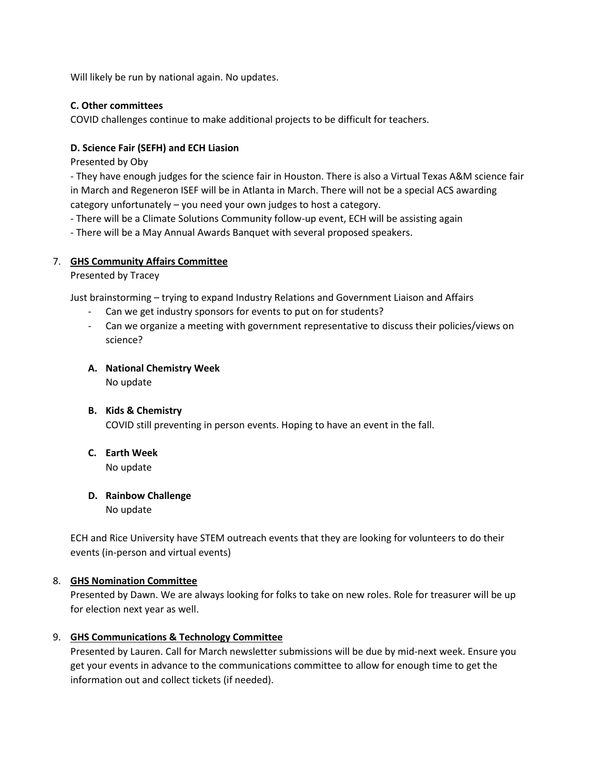Will likely be run by national again. No updates.

# **C. Other committees**

COVID challenges continue to make additional projects to be difficult for teachers.

# **D. Science Fair (SEFH) and ECH Liasion**

Presented by Oby

- They have enough judges for the science fair in Houston. There is also a Virtual Texas A&M science fair in March and Regeneron ISEF will be in Atlanta in March. There will not be a special ACS awarding category unfortunately – you need your own judges to host a category.

- There will be a Climate Solutions Community follow-up event, ECH will be assisting again

- There will be a May Annual Awards Banquet with several proposed speakers.

# 7. **GHS Community Affairs Committee**

### Presented by Tracey

Just brainstorming – trying to expand Industry Relations and Government Liaison and Affairs

- Can we get industry sponsors for events to put on for students?
- Can we organize a meeting with government representative to discuss their policies/views on science?

# **A. National Chemistry Week**

No update

# **B. Kids & Chemistry** COVID still preventing in person events. Hoping to have an event in the fall.

**C. Earth Week**

No update

# **D. Rainbow Challenge** No update

ECH and Rice University have STEM outreach events that they are looking for volunteers to do their events (in-person and virtual events)

# 8. **GHS Nomination Committee**

Presented by Dawn. We are always looking for folks to take on new roles. Role for treasurer will be up for election next year as well.

# 9. **GHS Communications & Technology Committee**

Presented by Lauren. Call for March newsletter submissions will be due by mid-next week. Ensure you get your events in advance to the communications committee to allow for enough time to get the information out and collect tickets (if needed).